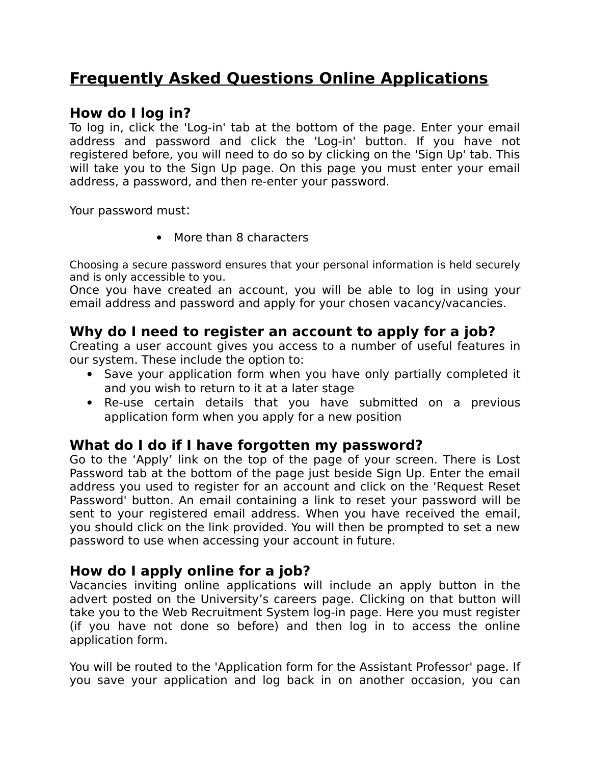# **Frequently Asked Questions Online Applications**

#### **How do I log in?**

To log in, click the 'Log-in' tab at the bottom of the page. Enter your email address and password and click the 'Log-in' button. If you have not registered before, you will need to do so by clicking on the 'Sign Up' tab. This will take you to the Sign Up page. On this page you must enter your email address, a password, and then re-enter your password.

Your password must:

• More than 8 characters

Choosing a secure password ensures that your personal information is held securely and is only accessible to you.

Once you have created an account, you will be able to log in using your email address and password and apply for your chosen vacancy/vacancies.

### **Why do I need to register an account to apply for a job?**

Creating a user account gives you access to a number of useful features in our system. These include the option to:

- Save your application form when you have only partially completed it and you wish to return to it at a later stage
- Re-use certain details that you have submitted on a previous application form when you apply for a new position

#### **What do I do if I have forgotten my password?**

Go to the 'Apply' link on the top of the page of your screen. There is Lost Password tab at the bottom of the page just beside Sign Up. Enter the email address you used to register for an account and click on the 'Request Reset Password' button. An email containing a link to reset your password will be sent to your registered email address. When you have received the email, you should click on the link provided. You will then be prompted to set a new password to use when accessing your account in future.

#### **How do I apply online for a job?**

Vacancies inviting online applications will include an apply button in the advert posted on the University's careers page. Clicking on that button will take you to the Web Recruitment System log-in page. Here you must register (if you have not done so before) and then log in to access the online application form.

You will be routed to the 'Application form for the Assistant Professor' page. If you save your application and log back in on another occasion, you can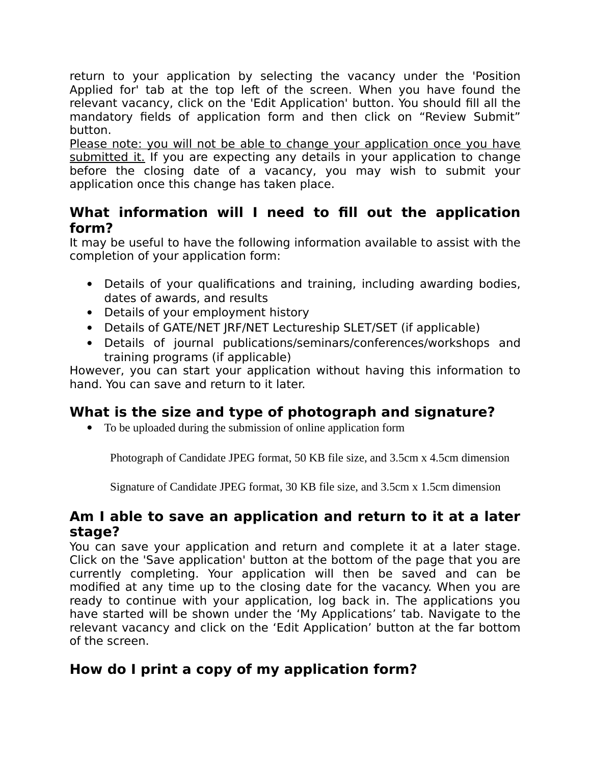return to your application by selecting the vacancy under the 'Position Applied for' tab at the top left of the screen. When you have found the relevant vacancy, click on the 'Edit Application' button. You should fill all the mandatory fields of application form and then click on "Review Submit" button.

Please note: you will not be able to change your application once you have submitted it. If you are expecting any details in your application to change before the closing date of a vacancy, you may wish to submit your application once this change has taken place.

### **What information will I need to fill out the application form?**

It may be useful to have the following information available to assist with the completion of your application form:

- Details of your qualifications and training, including awarding bodies, dates of awards, and results
- Details of your employment history
- Details of GATE/NET JRF/NET Lectureship SLET/SET (if applicable)
- Details of journal publications/seminars/conferences/workshops and training programs (if applicable)

However, you can start your application without having this information to hand. You can save and return to it later.

## **What is the size and type of photograph and signature?**

To be uploaded during the submission of online application form

Photograph of Candidate JPEG format, 50 KB file size, and 3.5cm x 4.5cm dimension

Signature of Candidate JPEG format, 30 KB file size, and 3.5cm x 1.5cm dimension

### **Am I able to save an application and return to it at a later stage?**

You can save your application and return and complete it at a later stage. Click on the 'Save application' button at the bottom of the page that you are currently completing. Your application will then be saved and can be modified at any time up to the closing date for the vacancy. When you are ready to continue with your application, log back in. The applications you have started will be shown under the 'My Applications' tab. Navigate to the relevant vacancy and click on the 'Edit Application' button at the far bottom of the screen.

# **How do I print a copy of my application form?**